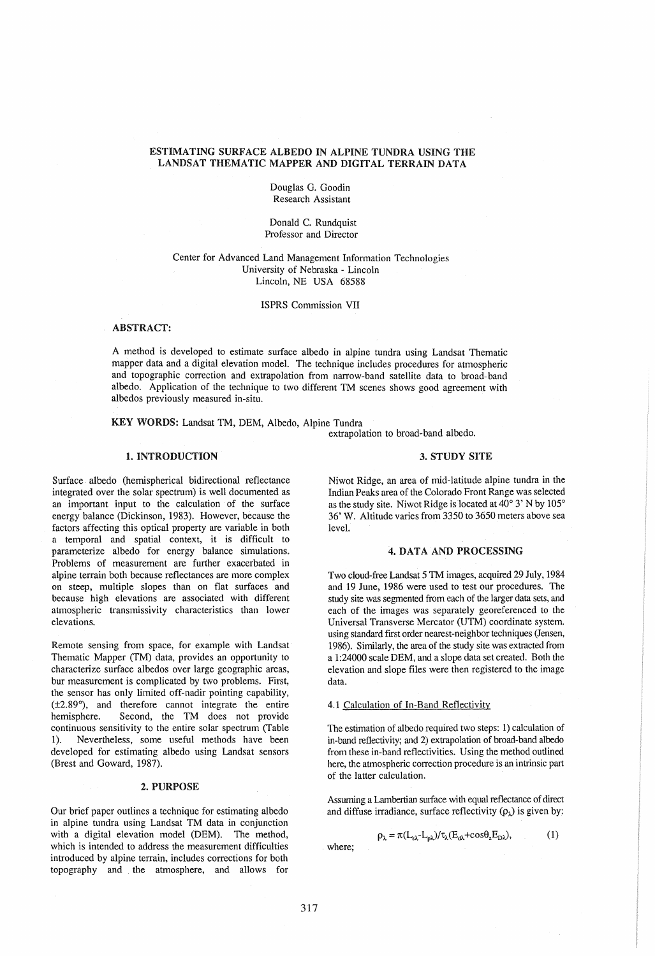# ESTIMATING SURFACE ALBEDO IN ALPINE TUNDRA USING THE LANDSAT THEMATIC MAPPER AND DIGITAL TERRAIN DATA

Douglas G. Goodin Research Assistant

Donald C. Rundquist Professor and Director

# Center for Advanced Land Management Information Technologies University of Nebraska - Lincoln Lincoln, NE USA 68588

ISPRS Commission VII

# ABSTRACT:

A method is developed to estimate surface albedo in alpine tundra using Landsat Thematic mapper data and a digital elevation model. The technique includes procedures for atmospheric and topographic correction and extrapolation from narrow-band satellite data to broad-band albedo. Application of the technique to two different TM scenes shows good agreement with albedos previously measured in-situ.

KEY WORDS: Landsat TM, DEM, Albedo, Alpine Tundra

extrapolation to broad-band albedo.

# 1. INTRODUCTION

Surface albedo (hemispherical bidirectional reflectance integrated over the solar spectrum) is well documented as an important input to the calculation of the surface energy balance (Dickinson, 1983), However, because the factors affecting this optical property are variable in both a temporal and spatial context, it is difficult to parameterize albedo for energy balance simulations. Problems of measurement are further exacerbated in alpine terrain both because reflectances are more complex on steep, multiple slopes than on flat surfaces and because high elevations are associated with different atmospheric transmissivity characteristics than lower elevations.

Remote sensing from space, for example with Landsat Thematic Mapper (TM) data, provides an opportunity to characterize surface albedos over large geographic areas, bur measurement is complicated by two problems. First, the sensor has only limited off-nadir pointing capability, (±2.89°), and therefore cannot integrate the entire Second, the TM does not provide continuous sensitivity to the entire solar spectrum (Table 1). Nevertheless, some useful methods have been developed for estimating albedo using Landsat sensors (Brest and Goward, 1987).

#### 2. PURPOSE

Our brief paper outlines a technique for estimating albedo in alpine tundra using Landsat TM data in conjunction with a digital elevation model (DEM). The method, which is intended to address the measurement difficulties introduced by alpine terrain, includes corrections for both topography and the atmosphere, and allows for

#### 3. STUDY SITE

Niwot Ridge, an area of mid-latitude alpine tundra in the Indian Peaks area of the Colorado Front Range was selected as the study site. Niwot Ridge is located at  $40^{\circ}$  3' N by 105° 36' W. Altitude varies from 3350 to 3650 meters above sea level.

#### 4. DATA AND PROCESSING

Two cloud-free Landsat 5 TM images, acquired 29 July, 1984 and 19 June, 1986 were used to test our procedures. The study site was segmented from each of the larger data sets, and each of the images was separately georeferenced to the Universal Transverse Mercator (UTM) coordinate system. using standard first order nearest-neighbor techniques (Jensen, 1986). Similarly, the area of the study site was extracted from a 1:24000 scale DEM, and a slope data set created. Both the elevation and slope fIles were then registered to the image data.

#### 4.1 Calculation of In-Band Reflectivity

The estimation of albedo required two steps: 1) calculation of in-band reflectivity; and 2) extrapolation of broad-band albedo from these in-band reflectivities. Using the method outlined here, the atmospheric correction procedure is an intrinsic part of the latter calculation.

Assuming a Lambertian surface with equal reflectance of direct and diffuse irradiance, surface reflectivity  $(\rho_{\lambda})$  is given by:

$$
\rho_{\lambda} = \pi (L_{s\lambda} - L_{p\lambda}) / \tau_{\lambda} (E_{d\lambda} + \cos \theta_z E_{D\lambda}), \qquad (1)
$$

where;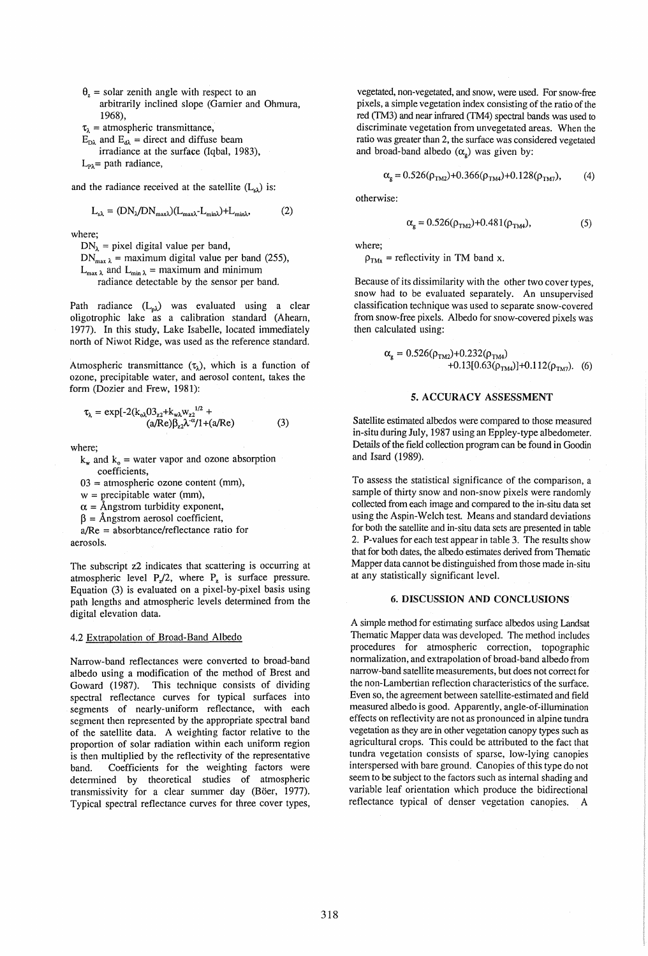$\theta_{z}$  = solar zenith angle with respect to an arbitrarily inclined slope (Garnier and Ohmura, 1968),

 $\tau_{\lambda}$  = atmospheric transmittance,

 $E_{\text{D}\lambda}$  and  $E_{d\lambda}$  = direct and diffuse beam irradiance at the surface (Iqbal, 1983),  $L_{\text{P}\lambda}$  = path radiance,

and the radiance received at the satellite  $(L_{s})$  is:

$$
L_{s\lambda} = (DN_{\lambda}/DN_{\text{max}})(L_{\text{max}}L_{\text{min}}) + L_{\text{min}}\lambda, \tag{2}
$$

where;

 $DN_1$  = pixel digital value per band,  $DN_{\text{max } \lambda}$  = maximum digital value per band (255),  $L_{\text{max }\lambda}$  and  $L_{\text{min }\lambda}$  = maximum and minimum radiance detectable by the sensor per band.

Path radiance  $(L_{p\lambda})$  was evaluated using a clear oligotrophic lake as a calibration standard (Ahearn, 1977). In this study, Lake Isabelle, located immediately north of Niwot Ridge, was used as the reference standard.

Atmospheric transmittance  $(\tau_{\lambda})$ , which is a function of ozone, precipitable water, and aerosol content, takes the form (Dozier and Frew, 1981):

$$
\tau_{\lambda} = \exp[-2(k_{o\lambda}03_{z2} + k_{w\lambda}w_{z2}^{1/2} + (a/Re)\beta_{z2}\lambda^{\alpha}/1 + (a/Re))
$$
\n(3)

where;

 $k_w$  and  $k_o$  = water vapor and ozone absorption coefficients,

 $03 =$  atmospheric ozone content (mm),

 $w =$  precipitable water (mm),

 $\alpha$  = Ångstrom turbidity exponent,

 $\beta$  = Ångstrom aerosol coefficient,

 $a/Re =$  absorbtance/reflectance ratio for aerosols.

The subscript z2 indicates that scattering is occurring at atmospheric level  $P_2/2$ , where  $P_2$  is surface pressure. Equation (3) is evaluated on a pixel-by-pixel basis using path lengths and atmospheric levels determined from the digital elevation data.

## 4.2 Extrapolation of Broad-Band Albedo

Narrow-band reflectances were converted to broad-band albedo using a modification of the method of Brest and Goward (1987). This technique consists of dividing spectral reflectance curves for typical surfaces into segments of nearly-uniform reflectance, with each segment then represented by the appropriate spectral band of the satellite data. A weighting factor relative to the proportion of solar radiation within each uniform region is then multiplied by the reflectivity of the representative band. Coefficients for the weighting factors were determined by theoretical studies of atmospheric transmissivity for a clear summer day (Böer, 1977). Typical spectral reflectance curves for three cover types,

vegetated, non-vegetated, and snow, were used. For snow-free pixels, a simple vegetation index consisting of the ratio of the red *(I'M3)* and near infrared (TM4) spectral bands was used to discriminate vegetation from unvegetated areas. When the ratio was greater than 2, the surface was considered vegetated and broad-band albedo  $(\alpha_g)$  was given by:

$$
\alpha_{\rm g} = 0.526(\rho_{\rm TM2}) + 0.366(\rho_{\rm TM4}) + 0.128(\rho_{\rm TM7}),\tag{4}
$$

otherwise:

$$
\alpha_{\rm g} = 0.526(\rho_{\rm TM2}) + 0.481(\rho_{\rm TM4}),\tag{5}
$$

where;

 $p_{\text{TMx}}$  = reflectivity in TM band x.

Because of its dissimilarity with the other two cover types, snow had to be evaluated separately. An unsupervised classification technique was used to separate snow-covered from snow-free pixels. Albedo for snow-covered pixels was then calculated using:

$$
\alpha_{g} = 0.526(\rho_{TM2}) + 0.232(\rho_{TM4}) + 0.13[0.63(\rho_{TM4})] + 0.112(\rho_{TM7}).
$$
 (6)

#### 5. ACCURACY ASSESSMENT

Satellite estimated albedos were compared to those measured in-situ during July, 1987 using an Eppley-type albedometer. Details of the field collection program can be found in Goodin and Isard (1989).

To assess the statistical significance of the comparison, a sample of thirty snow and non-snow pixels were randomly collected from each image and compared to the in-situ data set using the Aspin-Welch test. Means and standard deviations for both the satellite and in-situ data sets are presented in table 2. P-values for each test appear in table 3. The results show that for both dates, the albedo estimates derived from Thematic Mapper data cannot be distinguished from those made in-situ at any statistically significant level.

# 6. DISCUSSION AND CONCLUSIONS

A simple method for estimating surface albedos using Landsat Thematic Mapper data was developed. The method includes procedures for atmospheric correction, topographic normalization, and extrapolation of broad-band albedo from narrow-band satellite measurements, but does not correct for the non-Lambertian reflection characteristics of the surface. Even so, the agreement between satellite-estimated and field measured albedo is good. Apparently, angle-of-illumination effects on reflectivity are not as pronounced in alpine tundra vegetation as they are in other vegetation canopy types such as agricultural crops. This could be attributed to the fact that tundra vegetation consists of sparse, low-lying canopies interspersed with bare ground. Canopies of this type do not seem to be subject to the factors such as internal shading and variable leaf orientation which produce the bidirectional reflectance typical of denser vegetation canopies. A